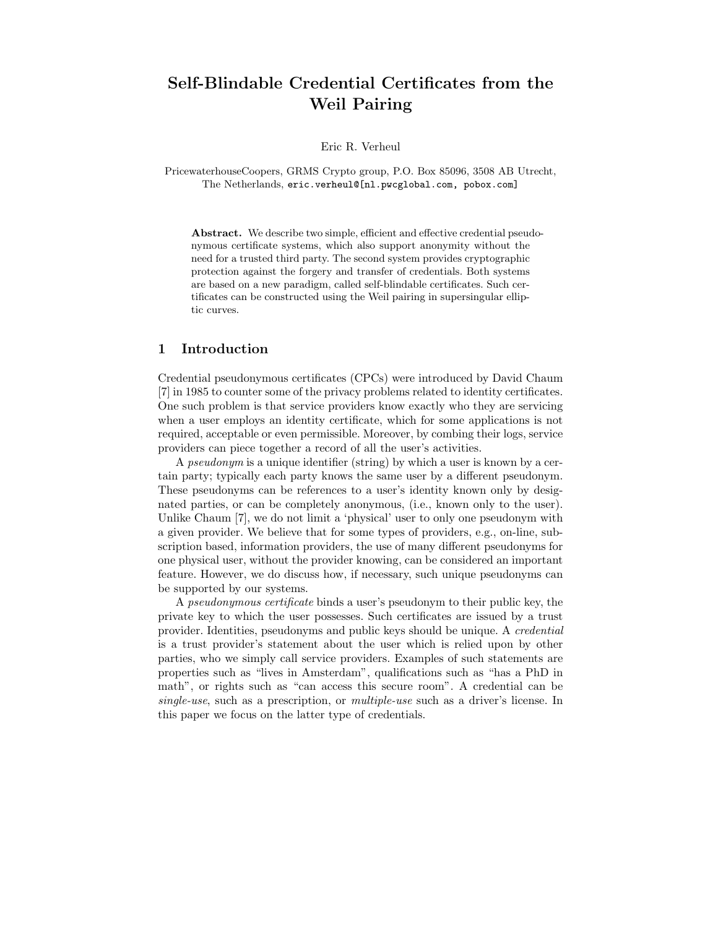# Self-Blindable Credential Certificates from the Weil Pairing

Eric R. Verheul

PricewaterhouseCoopers, GRMS Crypto group, P.O. Box 85096, 3508 AB Utrecht, The Netherlands, eric.verheul@[nl.pwcglobal.com, pobox.com]

Abstract. We describe two simple, efficient and effective credential pseudonymous certificate systems, which also support anonymity without the need for a trusted third party. The second system provides cryptographic protection against the forgery and transfer of credentials. Both systems are based on a new paradigm, called self-blindable certificates. Such certificates can be constructed using the Weil pairing in supersingular elliptic curves.

## 1 Introduction

Credential pseudonymous certificates (CPCs) were introduced by David Chaum [7] in 1985 to counter some of the privacy problems related to identity certificates. One such problem is that service providers know exactly who they are servicing when a user employs an identity certificate, which for some applications is not required, acceptable or even permissible. Moreover, by combing their logs, service providers can piece together a record of all the user's activities.

A pseudonym is a unique identifier (string) by which a user is known by a certain party; typically each party knows the same user by a different pseudonym. These pseudonyms can be references to a user's identity known only by designated parties, or can be completely anonymous, (i.e., known only to the user). Unlike Chaum [7], we do not limit a 'physical' user to only one pseudonym with a given provider. We believe that for some types of providers, e.g., on-line, subscription based, information providers, the use of many different pseudonyms for one physical user, without the provider knowing, can be considered an important feature. However, we do discuss how, if necessary, such unique pseudonyms can be supported by our systems.

A pseudonymous certificate binds a user's pseudonym to their public key, the private key to which the user possesses. Such certificates are issued by a trust provider. Identities, pseudonyms and public keys should be unique. A credential is a trust provider's statement about the user which is relied upon by other parties, who we simply call service providers. Examples of such statements are properties such as "lives in Amsterdam", qualifications such as "has a PhD in math", or rights such as "can access this secure room". A credential can be single-use, such as a prescription, or multiple-use such as a driver's license. In this paper we focus on the latter type of credentials.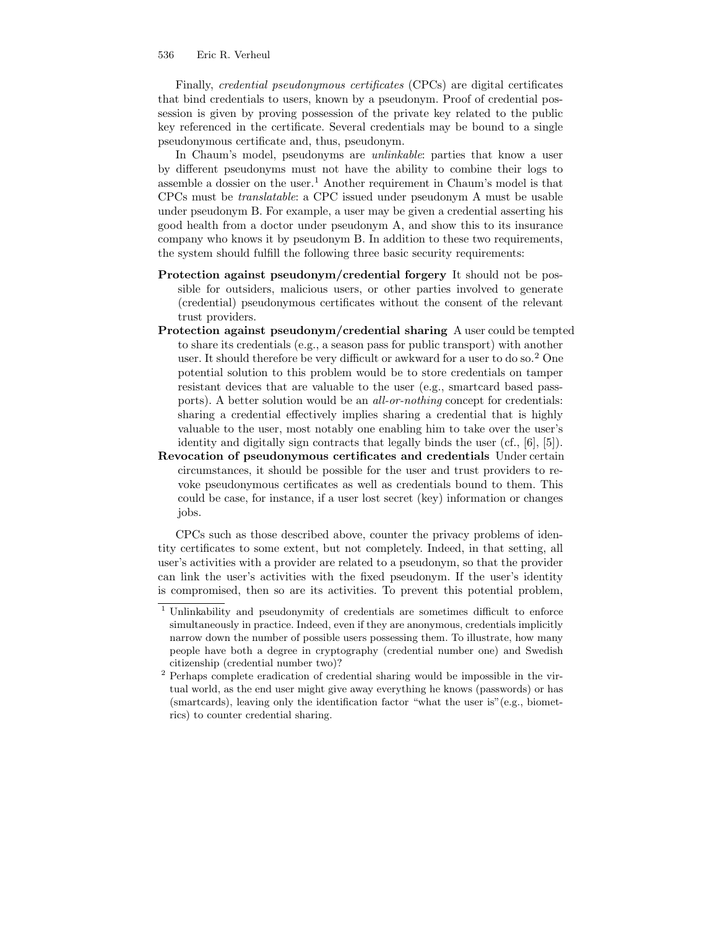Finally, credential pseudonymous certificates (CPCs) are digital certificates that bind credentials to users, known by a pseudonym. Proof of credential possession is given by proving possession of the private key related to the public key referenced in the certificate. Several credentials may be bound to a single pseudonymous certificate and, thus, pseudonym.

In Chaum's model, pseudonyms are *unlinkable*: parties that know a user by different pseudonyms must not have the ability to combine their logs to assemble a dossier on the user.<sup>1</sup> Another requirement in Chaum's model is that CPCs must be translatable: a CPC issued under pseudonym A must be usable under pseudonym B. For example, a user may be given a credential asserting his good health from a doctor under pseudonym A, and show this to its insurance company who knows it by pseudonym B. In addition to these two requirements, the system should fulfill the following three basic security requirements:

- Protection against pseudonym/credential forgery It should not be possible for outsiders, malicious users, or other parties involved to generate (credential) pseudonymous certificates without the consent of the relevant trust providers.
- Protection against pseudonym/credential sharing A user could be tempted to share its credentials (e.g., a season pass for public transport) with another user. It should therefore be very difficult or awkward for a user to do so.<sup>2</sup> One potential solution to this problem would be to store credentials on tamper resistant devices that are valuable to the user (e.g., smartcard based passports). A better solution would be an all-or-nothing concept for credentials: sharing a credential effectively implies sharing a credential that is highly valuable to the user, most notably one enabling him to take over the user's identity and digitally sign contracts that legally binds the user (cf., [6], [5]).
- Revocation of pseudonymous certificates and credentials Under certain circumstances, it should be possible for the user and trust providers to revoke pseudonymous certificates as well as credentials bound to them. This could be case, for instance, if a user lost secret (key) information or changes jobs.

CPCs such as those described above, counter the privacy problems of identity certificates to some extent, but not completely. Indeed, in that setting, all user's activities with a provider are related to a pseudonym, so that the provider can link the user's activities with the fixed pseudonym. If the user's identity is compromised, then so are its activities. To prevent this potential problem,

<sup>1</sup> Unlinkability and pseudonymity of credentials are sometimes difficult to enforce simultaneously in practice. Indeed, even if they are anonymous, credentials implicitly narrow down the number of possible users possessing them. To illustrate, how many people have both a degree in cryptography (credential number one) and Swedish citizenship (credential number two)?

 $^2$  Perhaps complete eradication of credential sharing would be impossible in the virtual world, as the end user might give away everything he knows (passwords) or has (smartcards), leaving only the identification factor "what the user is"(e.g., biometrics) to counter credential sharing.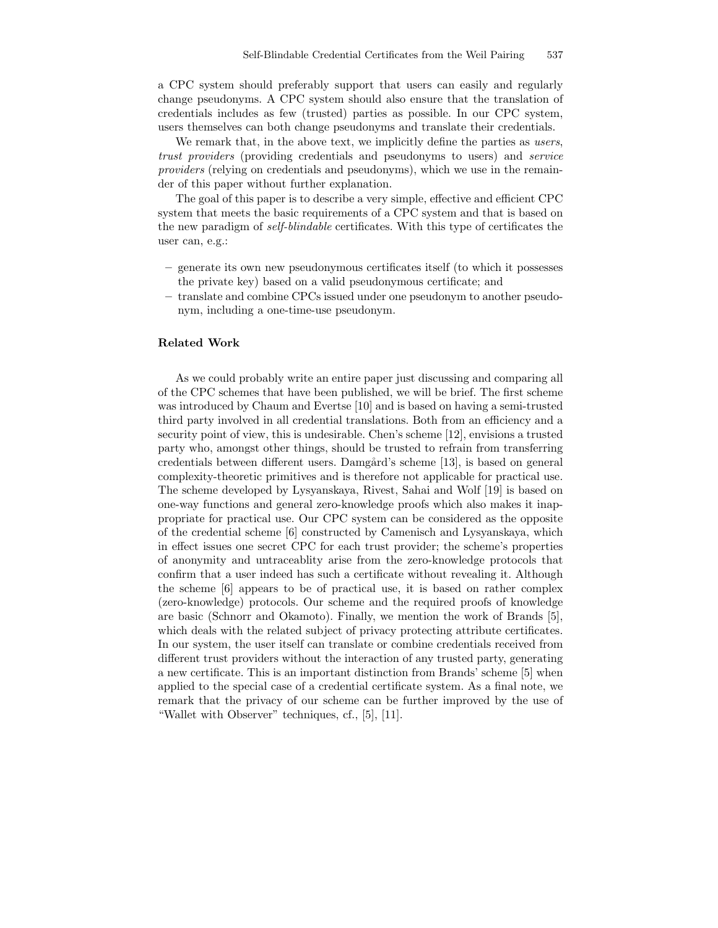a CPC system should preferably support that users can easily and regularly change pseudonyms. A CPC system should also ensure that the translation of credentials includes as few (trusted) parties as possible. In our CPC system, users themselves can both change pseudonyms and translate their credentials.

We remark that, in the above text, we implicitly define the parties as *users*, trust providers (providing credentials and pseudonyms to users) and service providers (relying on credentials and pseudonyms), which we use in the remainder of this paper without further explanation.

The goal of this paper is to describe a very simple, effective and efficient CPC system that meets the basic requirements of a CPC system and that is based on the new paradigm of self-blindable certificates. With this type of certificates the user can, e.g.:

- generate its own new pseudonymous certificates itself (to which it possesses the private key) based on a valid pseudonymous certificate; and
- translate and combine CPCs issued under one pseudonym to another pseudonym, including a one-time-use pseudonym.

## Related Work

As we could probably write an entire paper just discussing and comparing all of the CPC schemes that have been published, we will be brief. The first scheme was introduced by Chaum and Evertse [10] and is based on having a semi-trusted third party involved in all credential translations. Both from an efficiency and a security point of view, this is undesirable. Chen's scheme [12], envisions a trusted party who, amongst other things, should be trusted to refrain from transferring credentials between different users. Damgård's scheme [13], is based on general complexity-theoretic primitives and is therefore not applicable for practical use. The scheme developed by Lysyanskaya, Rivest, Sahai and Wolf [19] is based on one-way functions and general zero-knowledge proofs which also makes it inappropriate for practical use. Our CPC system can be considered as the opposite of the credential scheme [6] constructed by Camenisch and Lysyanskaya, which in effect issues one secret CPC for each trust provider; the scheme's properties of anonymity and untraceablity arise from the zero-knowledge protocols that confirm that a user indeed has such a certificate without revealing it. Although the scheme [6] appears to be of practical use, it is based on rather complex (zero-knowledge) protocols. Our scheme and the required proofs of knowledge are basic (Schnorr and Okamoto). Finally, we mention the work of Brands [5], which deals with the related subject of privacy protecting attribute certificates. In our system, the user itself can translate or combine credentials received from different trust providers without the interaction of any trusted party, generating a new certificate. This is an important distinction from Brands' scheme [5] when applied to the special case of a credential certificate system. As a final note, we remark that the privacy of our scheme can be further improved by the use of "Wallet with Observer" techniques, cf., [5], [11].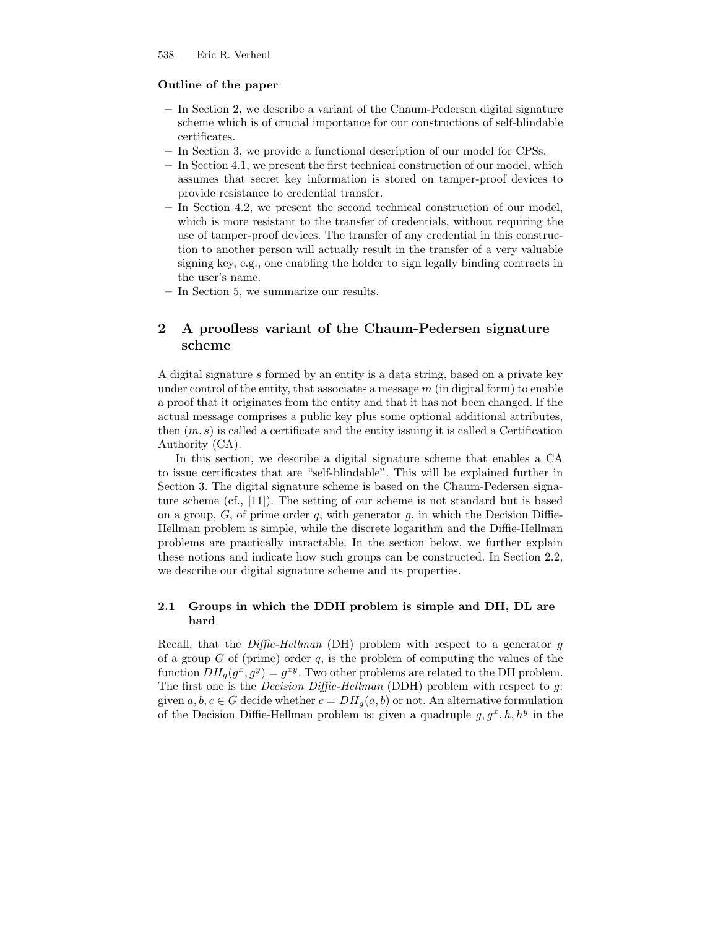## Outline of the paper

- In Section 2, we describe a variant of the Chaum-Pedersen digital signature scheme which is of crucial importance for our constructions of self-blindable certificates.
- In Section 3, we provide a functional description of our model for CPSs.
- In Section 4.1, we present the first technical construction of our model, which assumes that secret key information is stored on tamper-proof devices to provide resistance to credential transfer.
- In Section 4.2, we present the second technical construction of our model, which is more resistant to the transfer of credentials, without requiring the use of tamper-proof devices. The transfer of any credential in this construction to another person will actually result in the transfer of a very valuable signing key, e.g., one enabling the holder to sign legally binding contracts in the user's name.
- In Section 5, we summarize our results.

## 2 A proofless variant of the Chaum-Pedersen signature scheme

A digital signature s formed by an entity is a data string, based on a private key under control of the entity, that associates a message  $m$  (in digital form) to enable a proof that it originates from the entity and that it has not been changed. If the actual message comprises a public key plus some optional additional attributes, then  $(m, s)$  is called a certificate and the entity issuing it is called a Certification Authority (CA).

In this section, we describe a digital signature scheme that enables a CA to issue certificates that are "self-blindable". This will be explained further in Section 3. The digital signature scheme is based on the Chaum-Pedersen signature scheme (cf., [11]). The setting of our scheme is not standard but is based on a group,  $G$ , of prime order  $q$ , with generator  $g$ , in which the Decision Diffie-Hellman problem is simple, while the discrete logarithm and the Diffie-Hellman problems are practically intractable. In the section below, we further explain these notions and indicate how such groups can be constructed. In Section 2.2, we describe our digital signature scheme and its properties.

## 2.1 Groups in which the DDH problem is simple and DH, DL are hard

Recall, that the *Diffie-Hellman* (DH) problem with respect to a generator g of a group  $G$  of (prime) order  $q$ , is the problem of computing the values of the function  $DH_g(g^x, g^y) = g^{xy}$ . Two other problems are related to the DH problem. The first one is the *Decision Diffie-Hellman* (DDH) problem with respect to g: given  $a, b, c \in G$  decide whether  $c = DH_q(a, b)$  or not. An alternative formulation of the Decision Diffie-Hellman problem is: given a quadruple  $g, g^x, h, h^y$  in the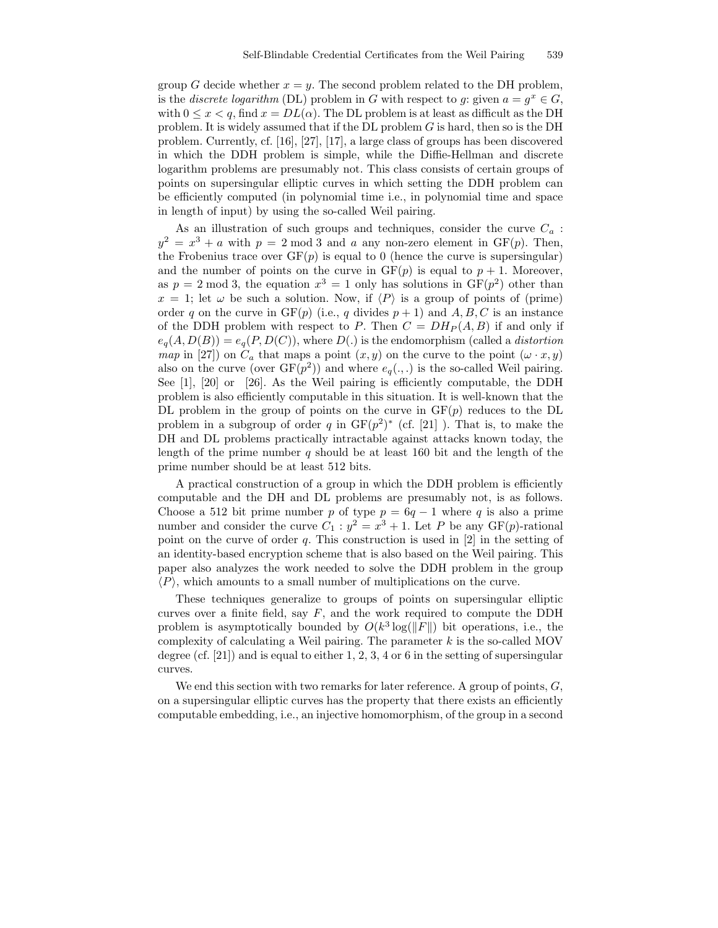group G decide whether  $x = y$ . The second problem related to the DH problem, is the *discrete logarithm* (DL) problem in G with respect to g: given  $a = g^x \in G$ , with  $0 \le x \le q$ , find  $x = DL(\alpha)$ . The DL problem is at least as difficult as the DH problem. It is widely assumed that if the  $DL$  problem G is hard, then so is the DH problem. Currently, cf. [16], [27], [17], a large class of groups has been discovered in which the DDH problem is simple, while the Diffie-Hellman and discrete logarithm problems are presumably not. This class consists of certain groups of points on supersingular elliptic curves in which setting the DDH problem can be efficiently computed (in polynomial time i.e., in polynomial time and space in length of input) by using the so-called Weil pairing.

As an illustration of such groups and techniques, consider the curve  $C_a$  :  $y^2 = x^3 + a$  with  $p = 2 \mod 3$  and a any non-zero element in GF(p). Then, the Frobenius trace over  $GF(p)$  is equal to 0 (hence the curve is supersingular) and the number of points on the curve in  $GF(p)$  is equal to  $p + 1$ . Moreover, as  $p = 2 \text{ mod } 3$ , the equation  $x^3 = 1$  only has solutions in  $GF(p^2)$  other than  $x = 1$ ; let  $\omega$  be such a solution. Now, if  $\langle P \rangle$  is a group of points of (prime) order q on the curve in  $GF(p)$  (i.e., q divides  $p + 1$ ) and  $A, B, C$  is an instance of the DDH problem with respect to P. Then  $C = DH<sub>P</sub>(A, B)$  if and only if  $e_q(A, D(B)) = e_q(P, D(C))$ , where  $D(.)$  is the endomorphism (called a *distortion* map in [27]) on  $C_a$  that maps a point  $(x, y)$  on the curve to the point  $(\omega \cdot x, y)$ also on the curve (over  $GF(p^2)$ ) and where  $e_q(.,.)$  is the so-called Weil pairing. See [1], [20] or [26]. As the Weil pairing is efficiently computable, the DDH problem is also efficiently computable in this situation. It is well-known that the DL problem in the group of points on the curve in  $GF(p)$  reduces to the DL problem in a subgroup of order q in  $GF(p^2)^*$  (cf. [21]). That is, to make the DH and DL problems practically intractable against attacks known today, the length of the prime number  $q$  should be at least 160 bit and the length of the prime number should be at least 512 bits.

A practical construction of a group in which the DDH problem is efficiently computable and the DH and DL problems are presumably not, is as follows. Choose a 512 bit prime number p of type  $p = 6q - 1$  where q is also a prime number and consider the curve  $C_1 : y^2 = x^3 + 1$ . Let P be any GF(p)-rational point on the curve of order q. This construction is used in [2] in the setting of an identity-based encryption scheme that is also based on the Weil pairing. This paper also analyzes the work needed to solve the DDH problem in the group  $\langle P \rangle$ , which amounts to a small number of multiplications on the curve.

These techniques generalize to groups of points on supersingular elliptic curves over a finite field, say  $F$ , and the work required to compute the DDH problem is asymptotically bounded by  $O(k^3 \log(||F||))$  bit operations, i.e., the complexity of calculating a Weil pairing. The parameter  $k$  is the so-called MOV degree (cf.  $[21]$ ) and is equal to either 1, 2, 3, 4 or 6 in the setting of supersingular curves.

We end this section with two remarks for later reference. A group of points, G, on a supersingular elliptic curves has the property that there exists an efficiently computable embedding, i.e., an injective homomorphism, of the group in a second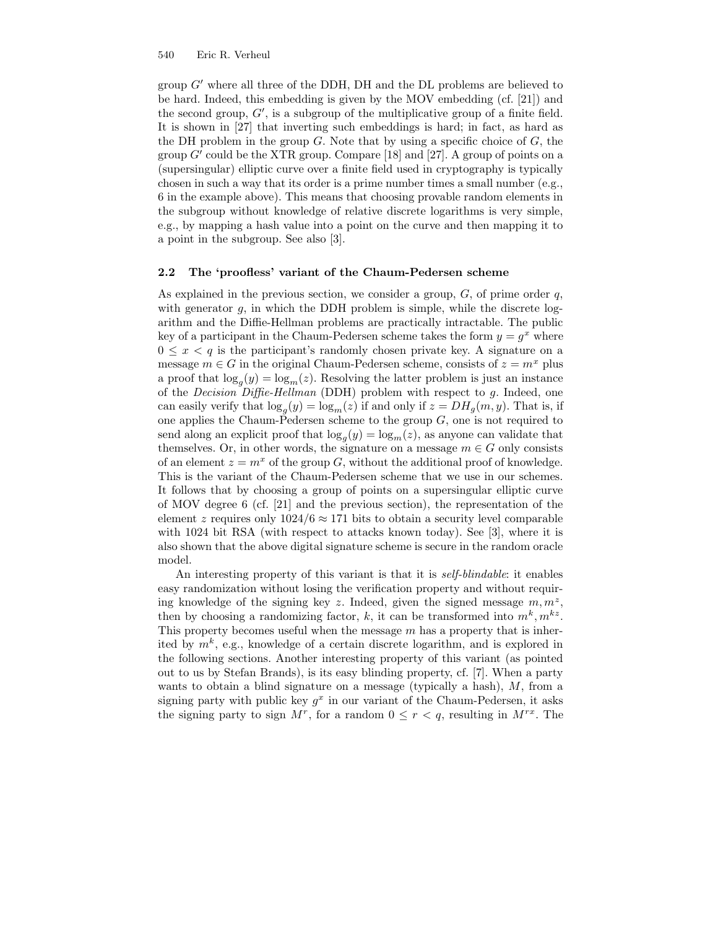group  $G'$  where all three of the DDH, DH and the DL problems are believed to be hard. Indeed, this embedding is given by the MOV embedding (cf. [21]) and the second group,  $G'$ , is a subgroup of the multiplicative group of a finite field. It is shown in [27] that inverting such embeddings is hard; in fact, as hard as the DH problem in the group  $G$ . Note that by using a specific choice of  $G$ , the group  $G'$  could be the XTR group. Compare [18] and [27]. A group of points on a (supersingular) elliptic curve over a finite field used in cryptography is typically chosen in such a way that its order is a prime number times a small number (e.g., 6 in the example above). This means that choosing provable random elements in the subgroup without knowledge of relative discrete logarithms is very simple, e.g., by mapping a hash value into a point on the curve and then mapping it to a point in the subgroup. See also [3].

## 2.2 The 'proofless' variant of the Chaum-Pedersen scheme

As explained in the previous section, we consider a group,  $G$ , of prime order  $q$ , with generator  $g$ , in which the DDH problem is simple, while the discrete logarithm and the Diffie-Hellman problems are practically intractable. The public key of a participant in the Chaum-Pedersen scheme takes the form  $y = g^x$  where  $0 \leq x \leq q$  is the participant's randomly chosen private key. A signature on a message  $m \in G$  in the original Chaum-Pedersen scheme, consists of  $z = m^x$  plus a proof that  $\log_g(y) = \log_m(z)$ . Resolving the latter problem is just an instance of the Decision Diffie-Hellman (DDH) problem with respect to g. Indeed, one can easily verify that  $\log_g(y) = \log_m(z)$  if and only if  $z = DH_g(m, y)$ . That is, if one applies the Chaum-Pedersen scheme to the group  $G$ , one is not required to send along an explicit proof that  $\log_g(y) = \log_m(z)$ , as anyone can validate that themselves. Or, in other words, the signature on a message  $m \in G$  only consists of an element  $z = m^x$  of the group G, without the additional proof of knowledge. This is the variant of the Chaum-Pedersen scheme that we use in our schemes. It follows that by choosing a group of points on a supersingular elliptic curve of MOV degree 6 (cf. [21] and the previous section), the representation of the element z requires only  $1024/6 \approx 171$  bits to obtain a security level comparable with 1024 bit RSA (with respect to attacks known today). See [3], where it is also shown that the above digital signature scheme is secure in the random oracle model.

An interesting property of this variant is that it is self-blindable: it enables easy randomization without losing the verification property and without requiring knowledge of the signing key z. Indeed, given the signed message  $m, m^z$ , then by choosing a randomizing factor, k, it can be transformed into  $m^k, m^{kz}$ . This property becomes useful when the message  $m$  has a property that is inherited by  $m^k$ , e.g., knowledge of a certain discrete logarithm, and is explored in the following sections. Another interesting property of this variant (as pointed out to us by Stefan Brands), is its easy blinding property, cf. [7]. When a party wants to obtain a blind signature on a message (typically a hash),  $M$ , from a signing party with public key  $g^x$  in our variant of the Chaum-Pedersen, it asks the signing party to sign  $M^r$ , for a random  $0 \leq r < q$ , resulting in  $M^{rx}$ . The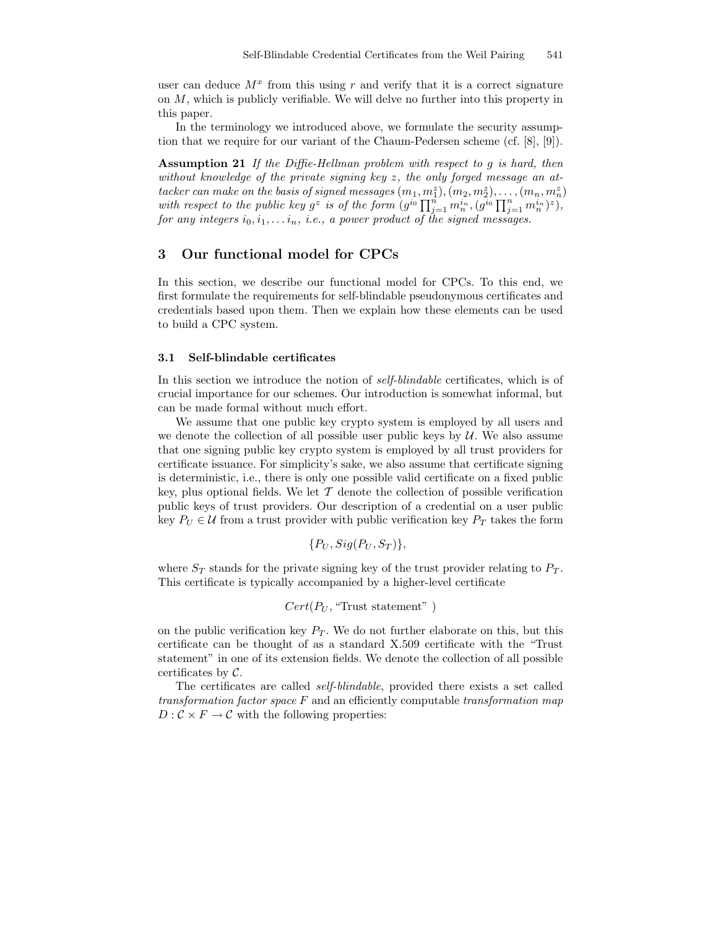user can deduce  $M^x$  from this using r and verify that it is a correct signature on  $M$ , which is publicly verifiable. We will delve no further into this property in this paper.

In the terminology we introduced above, we formulate the security assumption that we require for our variant of the Chaum-Pedersen scheme (cf. [8], [9]).

Assumption 21 If the Diffie-Hellman problem with respect to q is hard, then without knowledge of the private signing key z, the only forged message an attacker can make on the basis of signed messages  $(m_1, m_1^z), (m_2, m_2^z), \ldots, (m_n, m_n^z)$ with respect to the public key  $g^z$  is of the form  $(g^{i_0}\prod_{j=1}^{n'}m_n^{i_n},(g^{i_0}\prod_{j=1}^{n}m_n^{i_n})^z)$ , for any integers  $i_0, i_1, \ldots i_n$ , i.e., a power product of the signed messages.

## 3 Our functional model for CPCs

In this section, we describe our functional model for CPCs. To this end, we first formulate the requirements for self-blindable pseudonymous certificates and credentials based upon them. Then we explain how these elements can be used to build a CPC system.

#### 3.1 Self-blindable certificates

In this section we introduce the notion of self-blindable certificates, which is of crucial importance for our schemes. Our introduction is somewhat informal, but can be made formal without much effort.

We assume that one public key crypto system is employed by all users and we denote the collection of all possible user public keys by  $\mathcal U$ . We also assume that one signing public key crypto system is employed by all trust providers for certificate issuance. For simplicity's sake, we also assume that certificate signing is deterministic, i.e., there is only one possible valid certificate on a fixed public key, plus optional fields. We let  $\mathcal T$  denote the collection of possible verification public keys of trust providers. Our description of a credential on a user public key  $P_U \in \mathcal{U}$  from a trust provider with public verification key  $P_T$  takes the form

$$
\{P_U, Sig(P_U, S_T)\},\
$$

where  $S_T$  stands for the private signing key of the trust provider relating to  $P_T$ . This certificate is typically accompanied by a higher-level certificate

$$
Cert(P_U, "Trust statement")
$$

on the public verification key  $P_T$ . We do not further elaborate on this, but this certificate can be thought of as a standard X.509 certificate with the "Trust statement" in one of its extension fields. We denote the collection of all possible certificates by  $C$ .

The certificates are called self-blindable, provided there exists a set called transformation factor space  $F$  and an efficiently computable transformation map  $D: \mathcal{C} \times F \to \mathcal{C}$  with the following properties: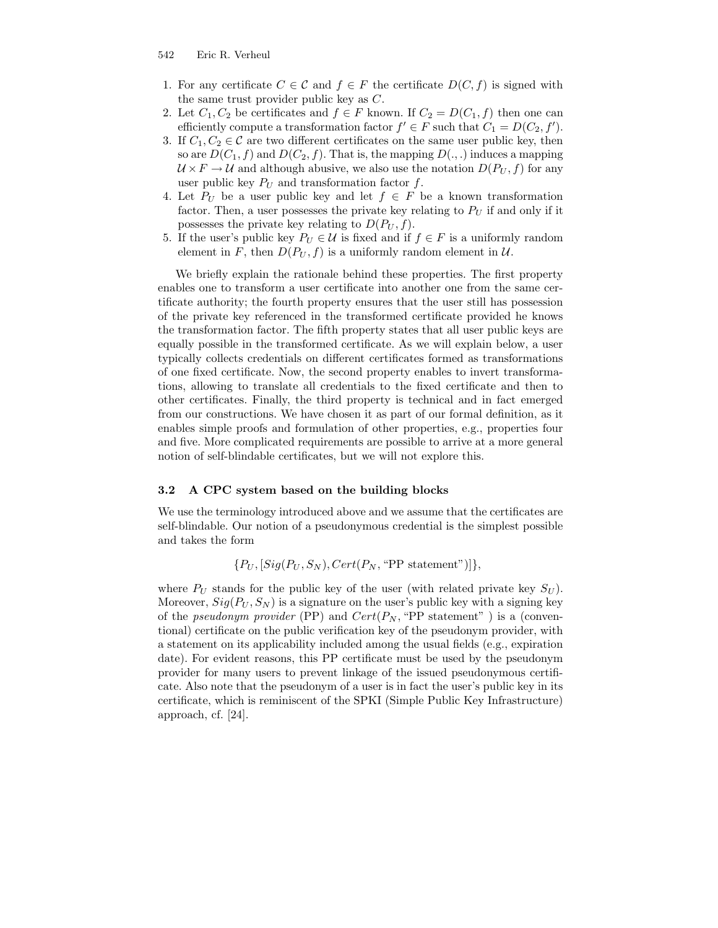- 1. For any certificate  $C \in \mathcal{C}$  and  $f \in F$  the certificate  $D(C, f)$  is signed with the same trust provider public key as C.
- 2. Let  $C_1, C_2$  be certificates and  $f \in F$  known. If  $C_2 = D(C_1, f)$  then one can efficiently compute a transformation factor  $f' \in F$  such that  $C_1 = D(C_2, f')$ .
- 3. If  $C_1, C_2 \in \mathcal{C}$  are two different certificates on the same user public key, then so are  $D(C_1, f)$  and  $D(C_2, f)$ . That is, the mapping  $D(.,.)$  induces a mapping  $U \times F \to U$  and although abusive, we also use the notation  $D(P_U, f)$  for any user public key  $P_U$  and transformation factor f.
- 4. Let  $P_U$  be a user public key and let  $f \in F$  be a known transformation factor. Then, a user possesses the private key relating to  $P_U$  if and only if it possesses the private key relating to  $D(P_U, f)$ .
- 5. If the user's public key  $P_U \in \mathcal{U}$  is fixed and if  $f \in F$  is a uniformly random element in F, then  $D(P_U, f)$  is a uniformly random element in U.

We briefly explain the rationale behind these properties. The first property enables one to transform a user certificate into another one from the same certificate authority; the fourth property ensures that the user still has possession of the private key referenced in the transformed certificate provided he knows the transformation factor. The fifth property states that all user public keys are equally possible in the transformed certificate. As we will explain below, a user typically collects credentials on different certificates formed as transformations of one fixed certificate. Now, the second property enables to invert transformations, allowing to translate all credentials to the fixed certificate and then to other certificates. Finally, the third property is technical and in fact emerged from our constructions. We have chosen it as part of our formal definition, as it enables simple proofs and formulation of other properties, e.g., properties four and five. More complicated requirements are possible to arrive at a more general notion of self-blindable certificates, but we will not explore this.

## 3.2 A CPC system based on the building blocks

We use the terminology introduced above and we assume that the certificates are self-blindable. Our notion of a pseudonymous credential is the simplest possible and takes the form

$$
\{P_U, [Sig(P_U, S_N), Cert(P_N, "PP statement"]\},
$$

where  $P_U$  stands for the public key of the user (with related private key  $S_U$ ). Moreover,  $Sig(P_U, S_N)$  is a signature on the user's public key with a signing key of the *pseudonym provider* (PP) and  $Cert(P_N, "PP statement")$  is a (conventional) certificate on the public verification key of the pseudonym provider, with a statement on its applicability included among the usual fields (e.g., expiration date). For evident reasons, this PP certificate must be used by the pseudonym provider for many users to prevent linkage of the issued pseudonymous certificate. Also note that the pseudonym of a user is in fact the user's public key in its certificate, which is reminiscent of the SPKI (Simple Public Key Infrastructure) approach, cf. [24].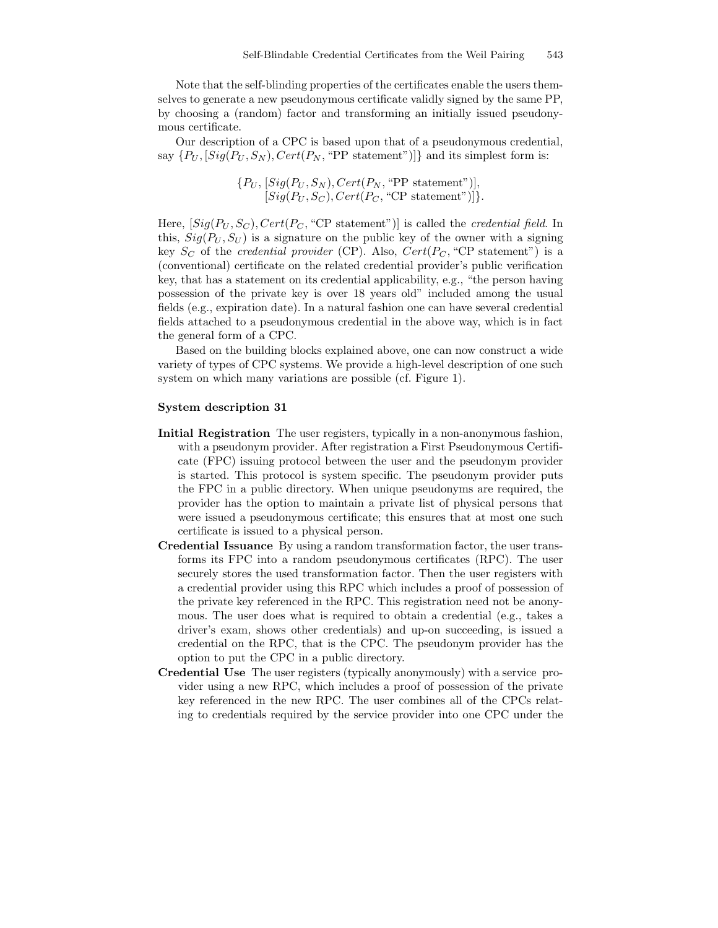Note that the self-blinding properties of the certificates enable the users themselves to generate a new pseudonymous certificate validly signed by the same PP, by choosing a (random) factor and transforming an initially issued pseudonymous certificate.

Our description of a CPC is based upon that of a pseudonymous credential, say  $\{P_U, [Sig(P_U, S_N), Cert(P_N, "PP statement"]\}$  and its simplest form is:

> $\{P_U, [Sig(P_U, S_N), Cert(P_N, "PP statement")],\}$  $[Sig(P_U, S_C), Cert(P_C, "CP statement"]\}.$

Here,  $[Sig(P_U, S_C), Cert(P_C, "CP statement")]$  is called the *credential field*. In this,  $Sig(P_U, S_U)$  is a signature on the public key of the owner with a signing key  $S_C$  of the *credential provider* (CP). Also,  $Cert(P_C, "CP statement")$  is a (conventional) certificate on the related credential provider's public verification key, that has a statement on its credential applicability, e.g., "the person having possession of the private key is over 18 years old" included among the usual fields (e.g., expiration date). In a natural fashion one can have several credential fields attached to a pseudonymous credential in the above way, which is in fact the general form of a CPC.

Based on the building blocks explained above, one can now construct a wide variety of types of CPC systems. We provide a high-level description of one such system on which many variations are possible (cf. Figure 1).

#### System description 31

- Initial Registration The user registers, typically in a non-anonymous fashion, with a pseudonym provider. After registration a First Pseudonymous Certificate (FPC) issuing protocol between the user and the pseudonym provider is started. This protocol is system specific. The pseudonym provider puts the FPC in a public directory. When unique pseudonyms are required, the provider has the option to maintain a private list of physical persons that were issued a pseudonymous certificate; this ensures that at most one such certificate is issued to a physical person.
- Credential Issuance By using a random transformation factor, the user transforms its FPC into a random pseudonymous certificates (RPC). The user securely stores the used transformation factor. Then the user registers with a credential provider using this RPC which includes a proof of possession of the private key referenced in the RPC. This registration need not be anonymous. The user does what is required to obtain a credential (e.g., takes a driver's exam, shows other credentials) and up-on succeeding, is issued a credential on the RPC, that is the CPC. The pseudonym provider has the option to put the CPC in a public directory.
- Credential Use The user registers (typically anonymously) with a service provider using a new RPC, which includes a proof of possession of the private key referenced in the new RPC. The user combines all of the CPCs relating to credentials required by the service provider into one CPC under the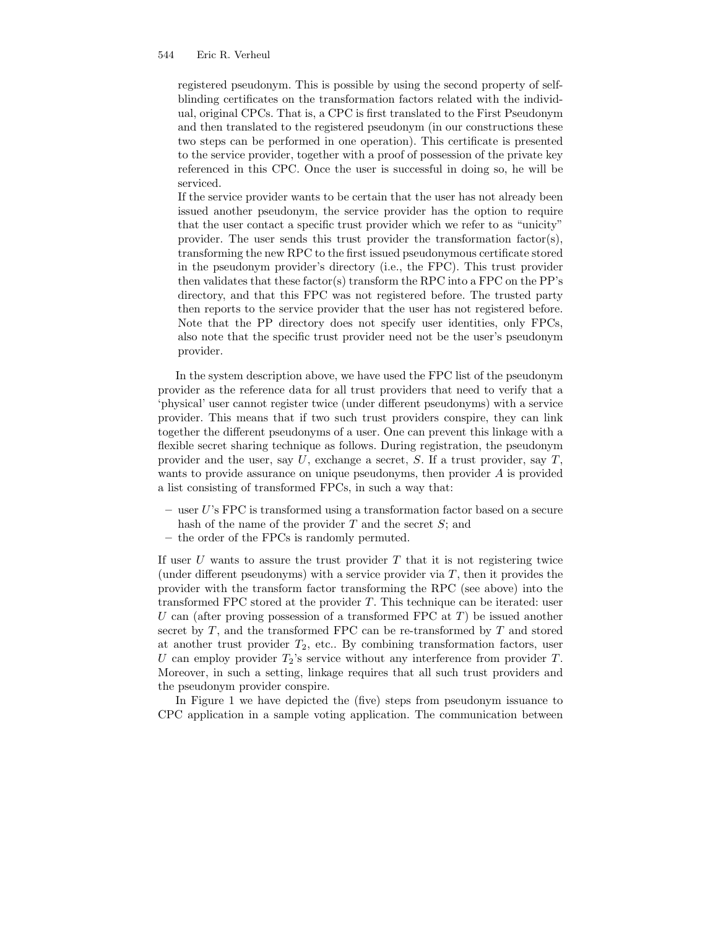registered pseudonym. This is possible by using the second property of selfblinding certificates on the transformation factors related with the individual, original CPCs. That is, a CPC is first translated to the First Pseudonym and then translated to the registered pseudonym (in our constructions these two steps can be performed in one operation). This certificate is presented to the service provider, together with a proof of possession of the private key referenced in this CPC. Once the user is successful in doing so, he will be serviced.

If the service provider wants to be certain that the user has not already been issued another pseudonym, the service provider has the option to require that the user contact a specific trust provider which we refer to as "unicity" provider. The user sends this trust provider the transformation factor(s), transforming the new RPC to the first issued pseudonymous certificate stored in the pseudonym provider's directory (i.e., the FPC). This trust provider then validates that these factor(s) transform the RPC into a FPC on the PP's directory, and that this FPC was not registered before. The trusted party then reports to the service provider that the user has not registered before. Note that the PP directory does not specify user identities, only FPCs, also note that the specific trust provider need not be the user's pseudonym provider.

In the system description above, we have used the FPC list of the pseudonym provider as the reference data for all trust providers that need to verify that a 'physical' user cannot register twice (under different pseudonyms) with a service provider. This means that if two such trust providers conspire, they can link together the different pseudonyms of a user. One can prevent this linkage with a flexible secret sharing technique as follows. During registration, the pseudonym provider and the user, say U, exchange a secret, S. If a trust provider, say  $T$ , wants to provide assurance on unique pseudonyms, then provider A is provided a list consisting of transformed FPCs, in such a way that:

- user U's FPC is transformed using a transformation factor based on a secure hash of the name of the provider  $T$  and the secret  $S$ ; and
- the order of the FPCs is randomly permuted.

If user  $U$  wants to assure the trust provider  $T$  that it is not registering twice (under different pseudonyms) with a service provider via  $T$ , then it provides the provider with the transform factor transforming the RPC (see above) into the transformed FPC stored at the provider T. This technique can be iterated: user U can (after proving possession of a transformed FPC at  $T$ ) be issued another secret by  $T$ , and the transformed FPC can be re-transformed by  $T$  and stored at another trust provider  $T_2$ , etc.. By combining transformation factors, user U can employ provider  $T_2$ 's service without any interference from provider T. Moreover, in such a setting, linkage requires that all such trust providers and the pseudonym provider conspire.

In Figure 1 we have depicted the (five) steps from pseudonym issuance to CPC application in a sample voting application. The communication between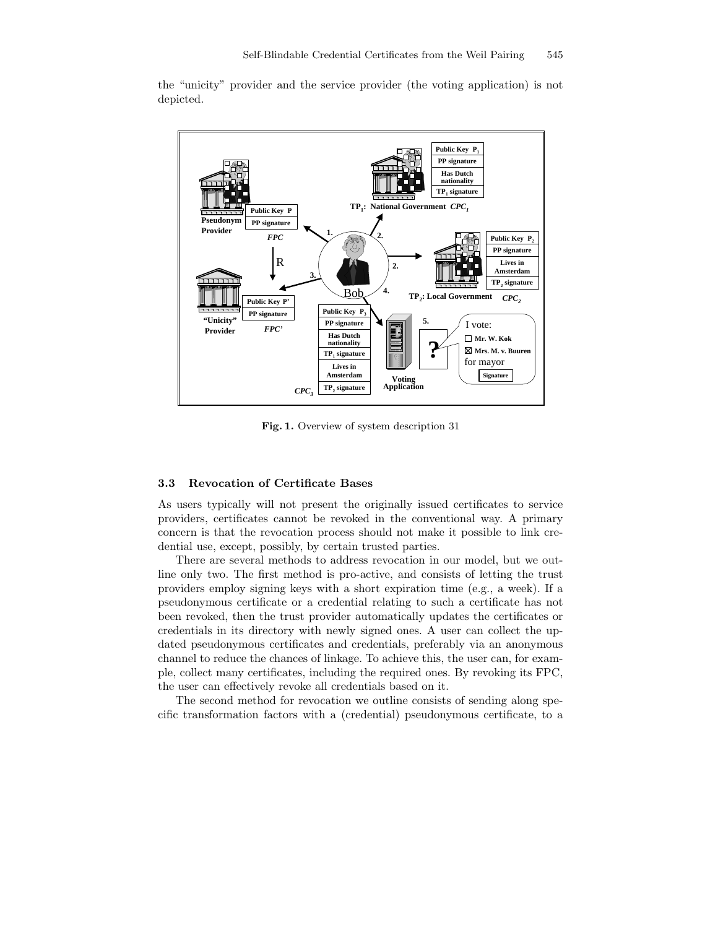

the "unicity" provider and the service provider (the voting application) is not depicted.

Fig. 1. Overview of system description 31

## 3.3 Revocation of Certificate Bases

As users typically will not present the originally issued certificates to service providers, certificates cannot be revoked in the conventional way. A primary concern is that the revocation process should not make it possible to link credential use, except, possibly, by certain trusted parties.

There are several methods to address revocation in our model, but we outline only two. The first method is pro-active, and consists of letting the trust providers employ signing keys with a short expiration time (e.g., a week). If a pseudonymous certificate or a credential relating to such a certificate has not been revoked, then the trust provider automatically updates the certificates or credentials in its directory with newly signed ones. A user can collect the updated pseudonymous certificates and credentials, preferably via an anonymous channel to reduce the chances of linkage. To achieve this, the user can, for example, collect many certificates, including the required ones. By revoking its FPC, the user can effectively revoke all credentials based on it.

The second method for revocation we outline consists of sending along specific transformation factors with a (credential) pseudonymous certificate, to a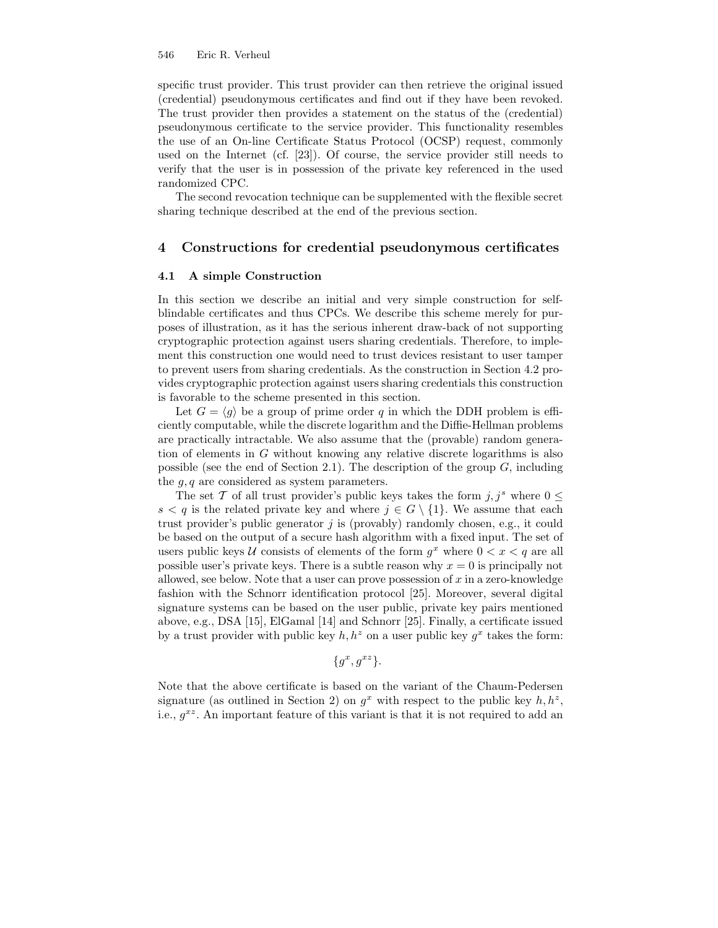specific trust provider. This trust provider can then retrieve the original issued (credential) pseudonymous certificates and find out if they have been revoked. The trust provider then provides a statement on the status of the (credential) pseudonymous certificate to the service provider. This functionality resembles the use of an On-line Certificate Status Protocol (OCSP) request, commonly used on the Internet (cf. [23]). Of course, the service provider still needs to verify that the user is in possession of the private key referenced in the used randomized CPC.

The second revocation technique can be supplemented with the flexible secret sharing technique described at the end of the previous section.

## 4 Constructions for credential pseudonymous certificates

## 4.1 A simple Construction

In this section we describe an initial and very simple construction for selfblindable certificates and thus CPCs. We describe this scheme merely for purposes of illustration, as it has the serious inherent draw-back of not supporting cryptographic protection against users sharing credentials. Therefore, to implement this construction one would need to trust devices resistant to user tamper to prevent users from sharing credentials. As the construction in Section 4.2 provides cryptographic protection against users sharing credentials this construction is favorable to the scheme presented in this section.

Let  $G = \langle g \rangle$  be a group of prime order q in which the DDH problem is efficiently computable, while the discrete logarithm and the Diffie-Hellman problems are practically intractable. We also assume that the (provable) random generation of elements in G without knowing any relative discrete logarithms is also possible (see the end of Section 2.1). The description of the group  $G$ , including the g, q are considered as system parameters.

The set T of all trust provider's public keys takes the form  $j, j^s$  where  $0 \leq$ s  $\leq q$  is the related private key and where  $j \in G \setminus \{1\}$ . We assume that each trust provider's public generator  $j$  is (provably) randomly chosen, e.g., it could be based on the output of a secure hash algorithm with a fixed input. The set of users public keys U consists of elements of the form  $g^x$  where  $0 < x < q$  are all possible user's private keys. There is a subtle reason why  $x = 0$  is principally not allowed, see below. Note that a user can prove possession of  $x$  in a zero-knowledge fashion with the Schnorr identification protocol [25]. Moreover, several digital signature systems can be based on the user public, private key pairs mentioned above, e.g., DSA [15], ElGamal [14] and Schnorr [25]. Finally, a certificate issued by a trust provider with public key  $h, h^z$  on a user public key  $g^x$  takes the form:

$$
\{g^x, g^{xz}\}.
$$

Note that the above certificate is based on the variant of the Chaum-Pedersen signature (as outlined in Section 2) on  $g^x$  with respect to the public key  $h, h^z$ , i.e.,  $g^{xz}$ . An important feature of this variant is that it is not required to add an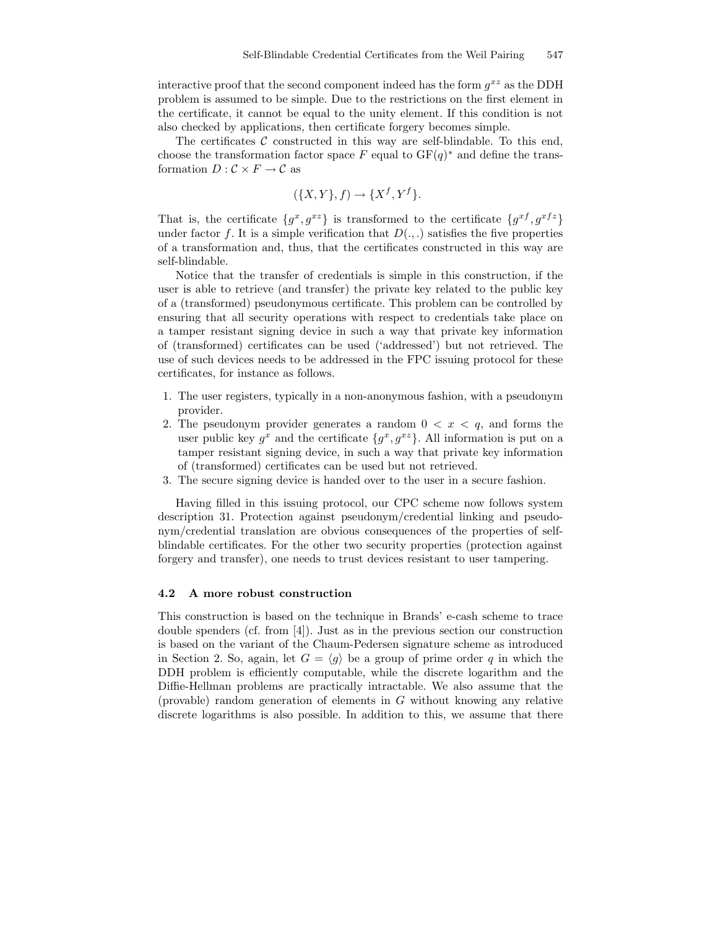interactive proof that the second component indeed has the form  $g^{xz}$  as the DDH problem is assumed to be simple. Due to the restrictions on the first element in the certificate, it cannot be equal to the unity element. If this condition is not also checked by applications, then certificate forgery becomes simple.

The certificates  $C$  constructed in this way are self-blindable. To this end, choose the transformation factor space  $F$  equal to  $GF(q)^*$  and define the transformation  $D: \mathcal{C} \times F \to \mathcal{C}$  as

$$
(\{X,Y\},f) \to \{X^f, Y^f\}.
$$

That is, the certificate  $\{g^x, g^{xz}\}\$ is transformed to the certificate  $\{g^{xf}, g^{xfz}\}\$ under factor f. It is a simple verification that  $D(.,.)$  satisfies the five properties of a transformation and, thus, that the certificates constructed in this way are self-blindable.

Notice that the transfer of credentials is simple in this construction, if the user is able to retrieve (and transfer) the private key related to the public key of a (transformed) pseudonymous certificate. This problem can be controlled by ensuring that all security operations with respect to credentials take place on a tamper resistant signing device in such a way that private key information of (transformed) certificates can be used ('addressed') but not retrieved. The use of such devices needs to be addressed in the FPC issuing protocol for these certificates, for instance as follows.

- 1. The user registers, typically in a non-anonymous fashion, with a pseudonym provider.
- 2. The pseudonym provider generates a random  $0 < x < q$ , and forms the user public key  $g^x$  and the certificate  $\{g^x, g^{xz}\}\$ . All information is put on a tamper resistant signing device, in such a way that private key information of (transformed) certificates can be used but not retrieved.
- 3. The secure signing device is handed over to the user in a secure fashion.

Having filled in this issuing protocol, our CPC scheme now follows system description 31. Protection against pseudonym/credential linking and pseudonym/credential translation are obvious consequences of the properties of selfblindable certificates. For the other two security properties (protection against forgery and transfer), one needs to trust devices resistant to user tampering.

## 4.2 A more robust construction

This construction is based on the technique in Brands' e-cash scheme to trace double spenders (cf. from [4]). Just as in the previous section our construction is based on the variant of the Chaum-Pedersen signature scheme as introduced in Section 2. So, again, let  $G = \langle q \rangle$  be a group of prime order q in which the DDH problem is efficiently computable, while the discrete logarithm and the Diffie-Hellman problems are practically intractable. We also assume that the (provable) random generation of elements in G without knowing any relative discrete logarithms is also possible. In addition to this, we assume that there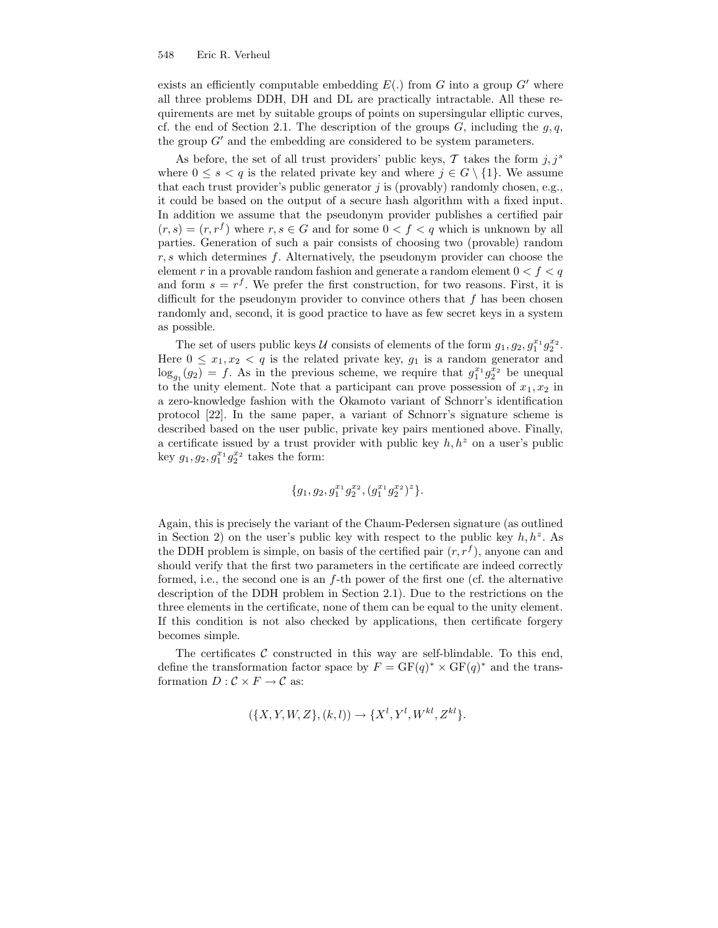exists an efficiently computable embedding  $E(.)$  from G into a group G' where all three problems DDH, DH and DL are practically intractable. All these requirements are met by suitable groups of points on supersingular elliptic curves, cf. the end of Section 2.1. The description of the groups  $G$ , including the  $q, q$ , the group  $G'$  and the embedding are considered to be system parameters.

As before, the set of all trust providers' public keys,  $\mathcal T$  takes the form  $j, j^s$ where  $0 \leq s < q$  is the related private key and where  $j \in G \setminus \{1\}$ . We assume that each trust provider's public generator  $j$  is (provably) randomly chosen, e.g., it could be based on the output of a secure hash algorithm with a fixed input. In addition we assume that the pseudonym provider publishes a certified pair  $(r, s) = (r, r^f)$  where  $r, s \in G$  and for some  $0 < f < q$  which is unknown by all parties. Generation of such a pair consists of choosing two (provable) random  $r, s$  which determines  $f$ . Alternatively, the pseudonym provider can choose the element r in a provable random fashion and generate a random element  $0 < f < q$ and form  $s = r<sup>f</sup>$ . We prefer the first construction, for two reasons. First, it is difficult for the pseudonym provider to convince others that  $f$  has been chosen randomly and, second, it is good practice to have as few secret keys in a system as possible.

The set of users public keys U consists of elements of the form  $g_1, g_2, g_1^{x_1} g_2^{x_2}$ . Here  $0 \leq x_1, x_2 < q$  is the related private key,  $g_1$  is a random generator and  $\log_{g_1}(g_2) = f$ . As in the previous scheme, we require that  $g_1^{x_1} g_2^{x_2}$  be unequal to the unity element. Note that a participant can prove possession of  $x_1, x_2$  in a zero-knowledge fashion with the Okamoto variant of Schnorr's identification protocol [22]. In the same paper, a variant of Schnorr's signature scheme is described based on the user public, private key pairs mentioned above. Finally, a certificate issued by a trust provider with public key  $h, h^z$  on a user's public key  $g_1, g_2, g_1^{x_1} g_2^{x_2}$  takes the form:

$$
\{g_1, g_2, g_1^{x_1}g_2^{x_2}, (g_1^{x_1}g_2^{x_2})^z\}.
$$

Again, this is precisely the variant of the Chaum-Pedersen signature (as outlined in Section 2) on the user's public key with respect to the public key  $h, h^z$ . As the DDH problem is simple, on basis of the certified pair  $(r, r<sup>f</sup>)$ , anyone can and should verify that the first two parameters in the certificate are indeed correctly formed, i.e., the second one is an  $f$ -th power of the first one (cf. the alternative description of the DDH problem in Section 2.1). Due to the restrictions on the three elements in the certificate, none of them can be equal to the unity element. If this condition is not also checked by applications, then certificate forgery becomes simple.

The certificates  $\mathcal C$  constructed in this way are self-blindable. To this end, define the transformation factor space by  $F = GF(q)^* \times GF(q)^*$  and the transformation  $D: \mathcal{C} \times F \to \mathcal{C}$  as:

$$
(\{X, Y, W, Z\}, (k, l)) \to \{X^l, Y^l, W^{kl}, Z^{kl}\}.
$$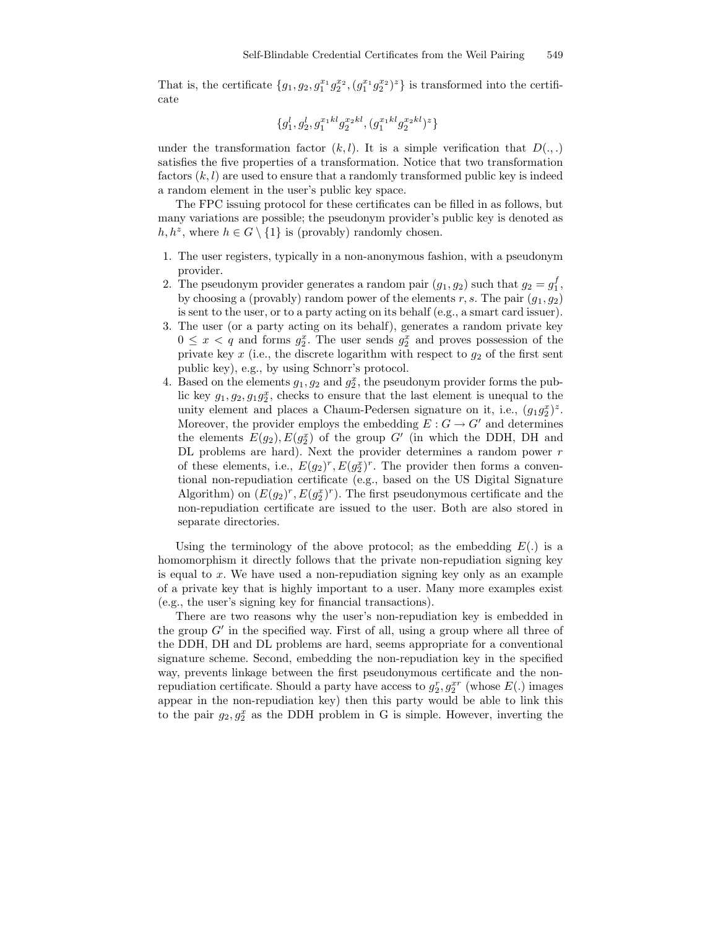That is, the certificate  $\{g_1, g_2, g_1^{x_1}g_2^{x_2}, (g_1^{x_1}g_2^{x_2})^z\}$  is transformed into the certificate

$$
\{g_1^l, g_2^l, g_1^{x_1kl}g_2^{x_2kl}, (g_1^{x_1kl}g_2^{x_2kl})^z\}
$$

under the transformation factor  $(k, l)$ . It is a simple verification that  $D(.,.)$ satisfies the five properties of a transformation. Notice that two transformation factors  $(k, l)$  are used to ensure that a randomly transformed public key is indeed a random element in the user's public key space.

The FPC issuing protocol for these certificates can be filled in as follows, but many variations are possible; the pseudonym provider's public key is denoted as  $h, h^z$ , where  $h \in G \setminus \{1\}$  is (provably) randomly chosen.

- 1. The user registers, typically in a non-anonymous fashion, with a pseudonym provider.
- 2. The pseudonym provider generates a random pair  $(g_1, g_2)$  such that  $g_2 = g_1^f$ , by choosing a (provably) random power of the elements r, s. The pair  $(g_1, g_2)$ is sent to the user, or to a party acting on its behalf (e.g., a smart card issuer).
- 3. The user (or a party acting on its behalf), generates a random private key  $0 \leq x < q$  and forms  $g_2^x$ . The user sends  $g_2^x$  and proves possession of the private key  $x$  (i.e., the discrete logarithm with respect to  $g_2$  of the first sent public key), e.g., by using Schnorr's protocol.
- 4. Based on the elements  $g_1, g_2$  and  $g_2^x$ , the pseudonym provider forms the public key  $g_1, g_2, g_1 g_2^x$ , checks to ensure that the last element is unequal to the unity element and places a Chaum-Pedersen signature on it, i.e.,  $(g_1g_2^x)^z$ . Moreover, the provider employs the embedding  $E: G \to G'$  and determines the elements  $E(g_2), E(g_2^x)$  of the group G' (in which the DDH, DH and DL problems are hard). Next the provider determines a random power  $r$ of these elements, i.e.,  $E(g_2)^r, E(g_2^x)^r$ . The provider then forms a conventional non-repudiation certificate (e.g., based on the US Digital Signature Algorithm) on  $(E(g_2)^r, E(g_2^x)^r)$ . The first pseudonymous certificate and the non-repudiation certificate are issued to the user. Both are also stored in separate directories.

Using the terminology of the above protocol; as the embedding  $E(.)$  is a homomorphism it directly follows that the private non-repudiation signing key is equal to x. We have used a non-repudiation signing key only as an example of a private key that is highly important to a user. Many more examples exist (e.g., the user's signing key for financial transactions).

There are two reasons why the user's non-repudiation key is embedded in the group  $G'$  in the specified way. First of all, using a group where all three of the DDH, DH and DL problems are hard, seems appropriate for a conventional signature scheme. Second, embedding the non-repudiation key in the specified way, prevents linkage between the first pseudonymous certificate and the nonrepudiation certificate. Should a party have access to  $g_2^r, g_2^{xr}$  (whose  $E(.)$  images appear in the non-repudiation key) then this party would be able to link this to the pair  $g_2, g_2^x$  as the DDH problem in G is simple. However, inverting the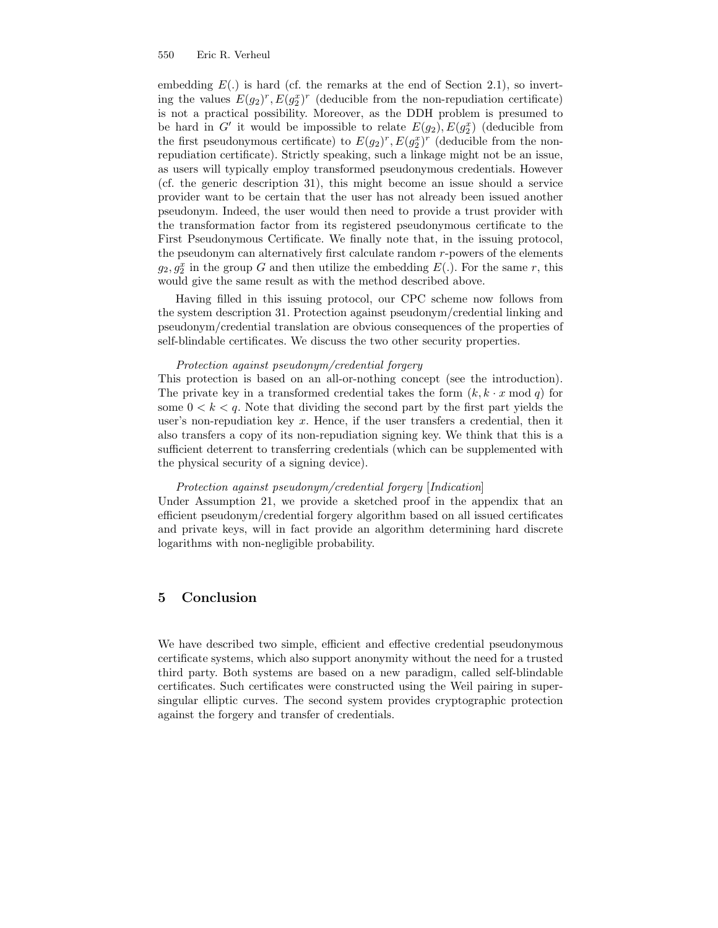embedding  $E(.)$  is hard (cf. the remarks at the end of Section 2.1), so inverting the values  $E(g_2)^r, E(g_2^x)^r$  (deducible from the non-repudiation certificate) is not a practical possibility. Moreover, as the DDH problem is presumed to be hard in G' it would be impossible to relate  $E(g_2), E(g_2^x)$  (deducible from the first pseudonymous certificate) to  $E(g_2)^r, E(g_2^x)^r$  (deducible from the nonrepudiation certificate). Strictly speaking, such a linkage might not be an issue, as users will typically employ transformed pseudonymous credentials. However (cf. the generic description 31), this might become an issue should a service provider want to be certain that the user has not already been issued another pseudonym. Indeed, the user would then need to provide a trust provider with the transformation factor from its registered pseudonymous certificate to the First Pseudonymous Certificate. We finally note that, in the issuing protocol, the pseudonym can alternatively first calculate random  $r$ -powers of the elements  $g_2, g_2^x$  in the group G and then utilize the embedding  $E(.)$ . For the same r, this would give the same result as with the method described above.

Having filled in this issuing protocol, our CPC scheme now follows from the system description 31. Protection against pseudonym/credential linking and pseudonym/credential translation are obvious consequences of the properties of self-blindable certificates. We discuss the two other security properties.

#### Protection against pseudonym/credential forgery

This protection is based on an all-or-nothing concept (see the introduction). The private key in a transformed credential takes the form  $(k, k \cdot x \mod q)$  for some  $0 < k < q$ . Note that dividing the second part by the first part yields the user's non-repudiation key  $x$ . Hence, if the user transfers a credential, then it also transfers a copy of its non-repudiation signing key. We think that this is a sufficient deterrent to transferring credentials (which can be supplemented with the physical security of a signing device).

#### Protection against pseudonym/credential forgery [Indication]

Under Assumption 21, we provide a sketched proof in the appendix that an efficient pseudonym/credential forgery algorithm based on all issued certificates and private keys, will in fact provide an algorithm determining hard discrete logarithms with non-negligible probability.

## 5 Conclusion

We have described two simple, efficient and effective credential pseudonymous certificate systems, which also support anonymity without the need for a trusted third party. Both systems are based on a new paradigm, called self-blindable certificates. Such certificates were constructed using the Weil pairing in supersingular elliptic curves. The second system provides cryptographic protection against the forgery and transfer of credentials.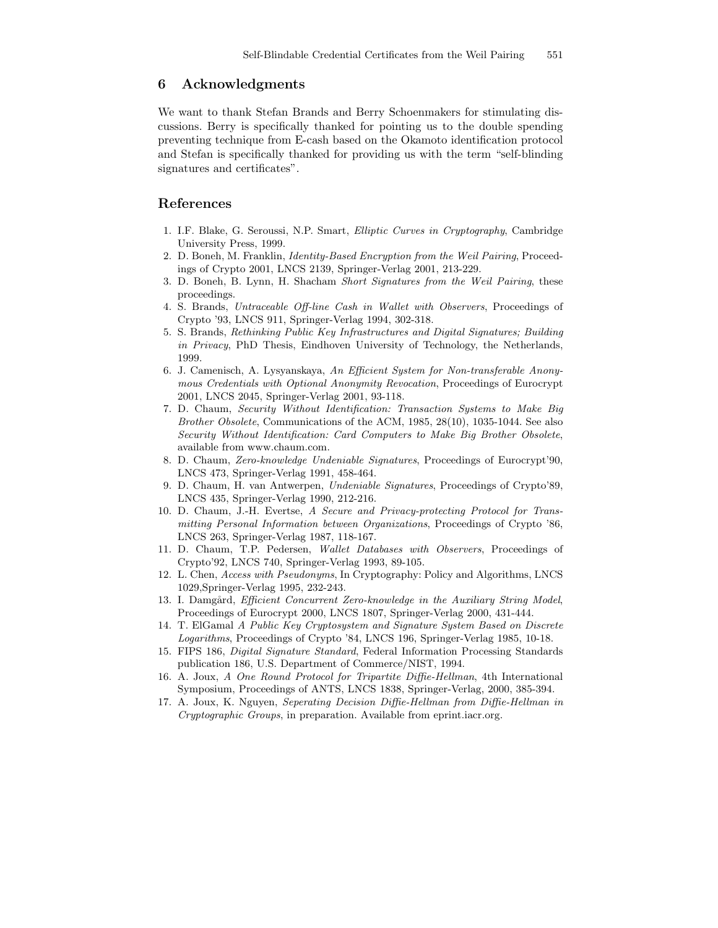## 6 Acknowledgments

We want to thank Stefan Brands and Berry Schoenmakers for stimulating discussions. Berry is specifically thanked for pointing us to the double spending preventing technique from E-cash based on the Okamoto identification protocol and Stefan is specifically thanked for providing us with the term "self-blinding signatures and certificates".

## References

- 1. I.F. Blake, G. Seroussi, N.P. Smart, Elliptic Curves in Cryptography, Cambridge University Press, 1999.
- 2. D. Boneh, M. Franklin, Identity-Based Encryption from the Weil Pairing, Proceedings of Crypto 2001, LNCS 2139, Springer-Verlag 2001, 213-229.
- 3. D. Boneh, B. Lynn, H. Shacham Short Signatures from the Weil Pairing, these proceedings.
- 4. S. Brands, Untraceable Off-line Cash in Wallet with Observers, Proceedings of Crypto '93, LNCS 911, Springer-Verlag 1994, 302-318.
- 5. S. Brands, Rethinking Public Key Infrastructures and Digital Signatures; Building in Privacy, PhD Thesis, Eindhoven University of Technology, the Netherlands, 1999.
- 6. J. Camenisch, A. Lysyanskaya, An Efficient System for Non-transferable Anonymous Credentials with Optional Anonymity Revocation, Proceedings of Eurocrypt 2001, LNCS 2045, Springer-Verlag 2001, 93-118.
- 7. D. Chaum, Security Without Identification: Transaction Systems to Make Big Brother Obsolete, Communications of the ACM, 1985, 28(10), 1035-1044. See also Security Without Identification: Card Computers to Make Big Brother Obsolete, available from www.chaum.com.
- 8. D. Chaum, Zero-knowledge Undeniable Signatures, Proceedings of Eurocrypt'90, LNCS 473, Springer-Verlag 1991, 458-464.
- 9. D. Chaum, H. van Antwerpen, Undeniable Signatures, Proceedings of Crypto'89, LNCS 435, Springer-Verlag 1990, 212-216.
- 10. D. Chaum, J.-H. Evertse, A Secure and Privacy-protecting Protocol for Transmitting Personal Information between Organizations, Proceedings of Crypto '86, LNCS 263, Springer-Verlag 1987, 118-167.
- 11. D. Chaum, T.P. Pedersen, Wallet Databases with Observers, Proceedings of Crypto'92, LNCS 740, Springer-Verlag 1993, 89-105.
- 12. L. Chen, Access with Pseudonyms, In Cryptography: Policy and Algorithms, LNCS 1029,Springer-Verlag 1995, 232-243.
- 13. I. Damgård, Efficient Concurrent Zero-knowledge in the Auxiliary String Model, Proceedings of Eurocrypt 2000, LNCS 1807, Springer-Verlag 2000, 431-444.
- 14. T. ElGamal A Public Key Cryptosystem and Signature System Based on Discrete Logarithms, Proceedings of Crypto '84, LNCS 196, Springer-Verlag 1985, 10-18.
- 15. FIPS 186, Digital Signature Standard, Federal Information Processing Standards publication 186, U.S. Department of Commerce/NIST, 1994.
- 16. A. Joux, A One Round Protocol for Tripartite Diffie-Hellman, 4th International Symposium, Proceedings of ANTS, LNCS 1838, Springer-Verlag, 2000, 385-394.
- 17. A. Joux, K. Nguyen, Seperating Decision Diffie-Hellman from Diffie-Hellman in Cryptographic Groups, in preparation. Available from eprint.iacr.org.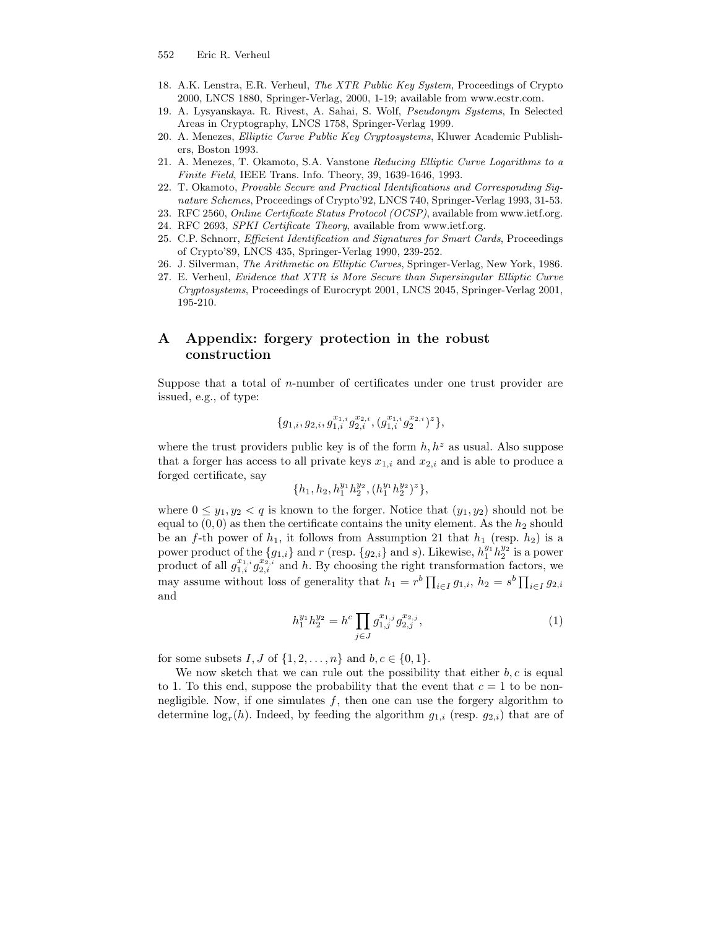- 552 Eric R. Verheul
- 18. A.K. Lenstra, E.R. Verheul, The XTR Public Key System, Proceedings of Crypto 2000, LNCS 1880, Springer-Verlag, 2000, 1-19; available from www.ecstr.com.
- 19. A. Lysyanskaya. R. Rivest, A. Sahai, S. Wolf, Pseudonym Systems, In Selected Areas in Cryptography, LNCS 1758, Springer-Verlag 1999.
- 20. A. Menezes, Elliptic Curve Public Key Cryptosystems, Kluwer Academic Publishers, Boston 1993.
- 21. A. Menezes, T. Okamoto, S.A. Vanstone Reducing Elliptic Curve Logarithms to a Finite Field, IEEE Trans. Info. Theory, 39, 1639-1646, 1993.
- 22. T. Okamoto, Provable Secure and Practical Identifications and Corresponding Signature Schemes, Proceedings of Crypto'92, LNCS 740, Springer-Verlag 1993, 31-53.
- 23. RFC 2560, Online Certificate Status Protocol (OCSP), available from www.ietf.org.
- 24. RFC 2693, SPKI Certificate Theory, available from www.ietf.org.
- 25. C.P. Schnorr, Efficient Identification and Signatures for Smart Cards, Proceedings of Crypto'89, LNCS 435, Springer-Verlag 1990, 239-252.
- 26. J. Silverman, The Arithmetic on Elliptic Curves, Springer-Verlag, New York, 1986.
- 27. E. Verheul, Evidence that XTR is More Secure than Supersingular Elliptic Curve Cryptosystems, Proceedings of Eurocrypt 2001, LNCS 2045, Springer-Verlag 2001, 195-210.

## A Appendix: forgery protection in the robust construction

Suppose that a total of n-number of certificates under one trust provider are issued, e.g., of type:

$$
\{g_{1,i},g_{2,i},g_{1,i}^{x_{1,i}}g_{2,i}^{x_{2,i}}, (g_{1,i}^{x_{1,i}}g_{2}^{x_{2,i}})^z\},
$$

where the trust providers public key is of the form  $h, h^z$  as usual. Also suppose that a forger has access to all private keys  $x_{1,i}$  and  $x_{2,i}$  and is able to produce a forged certificate, say

$$
\{h_1, h_2, h_1^{y_1} h_2^{y_2}, (h_1^{y_1} h_2^{y_2})^z\},\
$$

where  $0 \leq y_1, y_2 < q$  is known to the forger. Notice that  $(y_1, y_2)$  should not be equal to  $(0, 0)$  as then the certificate contains the unity element. As the  $h_2$  should be an f-th power of  $h_1$ , it follows from Assumption 21 that  $h_1$  (resp.  $h_2$ ) is a power product of the  $\{g_{1,i}\}\$ and r (resp.  $\{g_{2,i}\}\$ and s). Likewise,  $h_1^{y_1}h_2^{y_2}$  is a power product of all  $g_{1,i}^{x_{1,i}} g_{2,i}^{x_{2,i}}$  and h. By choosing the right transformation factors, we may assume without loss of generality that  $h_1 = r^b \prod_{i \in I} g_{1,i}, h_2 = s^b \prod_{i \in I} g_{2,i}$ and

$$
h_1^{y_1} h_2^{y_2} = h^c \prod_{j \in J} g_{1,j}^{x_{1,j}} g_{2,j}^{x_{2,j}}, \tag{1}
$$

for some subsets  $I, J$  of  $\{1, 2, \ldots, n\}$  and  $b, c \in \{0, 1\}.$ 

We now sketch that we can rule out the possibility that either  $b, c$  is equal to 1. To this end, suppose the probability that the event that  $c = 1$  to be nonnegligible. Now, if one simulates  $f$ , then one can use the forgery algorithm to determine  $log<sub>r</sub>(h)$ . Indeed, by feeding the algorithm  $g_{1,i}$  (resp.  $g_{2,i}$ ) that are of